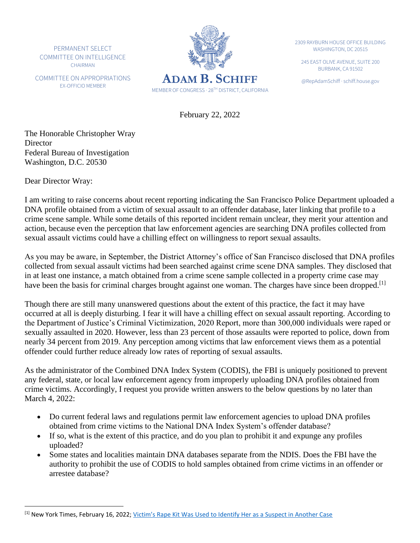PERMANENT SELECT COMMITTEE ON INTELLIGENCE CHAIRMAN

COMMITTEE ON APPROPRIATIONS EX-OFFICIO MEMBER



2309 RAYBURN HOUSE OFFICE BUILDING WASHINGTON, DC 20515

245 EAST OLIVE AVENUE, SUITE 200 BURBANK, CA 91502

February 22, 2022

The Honorable Christopher Wray **Director** Federal Bureau of Investigation Washington, D.C. 20530

Dear Director Wray:

I am writing to raise concerns about recent reporting indicating the San Francisco Police Department uploaded a DNA profile obtained from a victim of sexual assault to an offender database, later linking that profile to a crime scene sample. While some details of this reported incident remain unclear, they merit your attention and action, because even the perception that law enforcement agencies are searching DNA profiles collected from sexual assault victims could have a chilling effect on willingness to report sexual assaults.

As you may be aware, in September, the District Attorney's office of San Francisco disclosed that DNA profiles collected from sexual assault victims had been searched against crime scene DNA samples. They disclosed that in at least one instance, a match obtained from a crime scene sample collected in a property crime case may have been the basis for criminal charges brought against one woman. The charges have since been dropped.<sup>[1]</sup>

Though there are still many unanswered questions about the extent of this practice, the fact it may have occurred at all is deeply disturbing. I fear it will have a chilling effect on sexual assault reporting. According to the Department of Justice's Criminal Victimization, 2020 Report, more than 300,000 individuals were raped or sexually assaulted in 2020. However, less than 23 percent of those assaults were reported to police, down from nearly 34 percent from 2019. Any perception among victims that law enforcement views them as a potential offender could further reduce already low rates of reporting of sexual assaults.

As the administrator of the Combined DNA Index System (CODIS), the FBI is uniquely positioned to prevent any federal, state, or local law enforcement agency from improperly uploading DNA profiles obtained from crime victims. Accordingly, I request you provide written answers to the below questions by no later than March 4, 2022:

- Do current federal laws and regulations permit law enforcement agencies to upload DNA profiles obtained from crime victims to the National DNA Index System's offender database?
- If so, what is the extent of this practice, and do you plan to prohibit it and expunge any profiles uploaded?
- Some states and localities maintain DNA databases separate from the NDIS. Does the FBI have the authority to prohibit the use of CODIS to hold samples obtained from crime victims in an offender or arrestee database?

<sup>&</sup>lt;sup>[1]</sup> New York Times, February 16, 2022; Victim's Rape Kit Was U[sed to Identify Her as a Suspect in Another Case](https://urldefense.com/v3/__https:/www.nytimes.com/2022/02/15/us/san-francisco-police-rape-kit-dna.html__;!!Bg5easoyC-OII2vlEqY8mTBrtW-N4OJKAQ!d5zPkjFl6W5_bB0EiAAunn4gHC08J9A86A_8Xxhop9mXElGJ8dKnN8ZOHX5UCwk54wvFoBzrXw$)